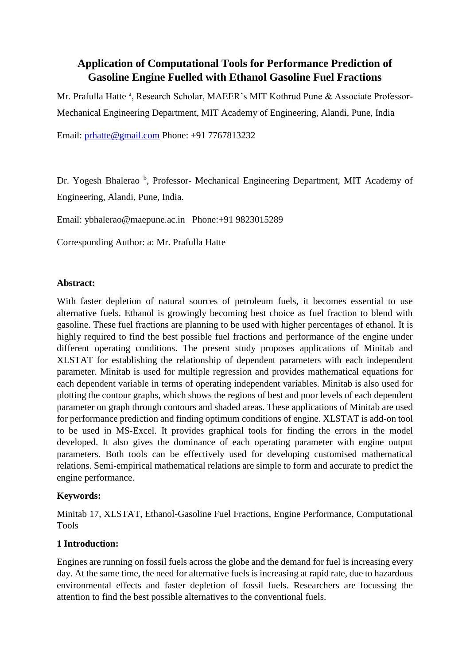# **Application of Computational Tools for Performance Prediction of Gasoline Engine Fuelled with Ethanol Gasoline Fuel Fractions**

Mr. Prafulla Hatte <sup>a</sup>, Research Scholar, MAEER's MIT Kothrud Pune & Associate Professor-Mechanical Engineering Department, MIT Academy of Engineering, Alandi, Pune, India

Email: [prhatte@gmail.com](mailto:prhatte@gmail.com) Phone: +91 7767813232

Dr. Yogesh Bhalerao<sup>b</sup>, Professor- Mechanical Engineering Department, MIT Academy of Engineering, Alandi, Pune, India.

Email: ybhalerao@maepune.ac.in Phone:+91 9823015289

Corresponding Author: a: Mr. Prafulla Hatte

#### **Abstract:**

With faster depletion of natural sources of petroleum fuels, it becomes essential to use alternative fuels. Ethanol is growingly becoming best choice as fuel fraction to blend with gasoline. These fuel fractions are planning to be used with higher percentages of ethanol. It is highly required to find the best possible fuel fractions and performance of the engine under different operating conditions. The present study proposes applications of Minitab and XLSTAT for establishing the relationship of dependent parameters with each independent parameter. Minitab is used for multiple regression and provides mathematical equations for each dependent variable in terms of operating independent variables. Minitab is also used for plotting the contour graphs, which shows the regions of best and poor levels of each dependent parameter on graph through contours and shaded areas. These applications of Minitab are used for performance prediction and finding optimum conditions of engine. XLSTAT is add-on tool to be used in MS-Excel. It provides graphical tools for finding the errors in the model developed. It also gives the dominance of each operating parameter with engine output parameters. Both tools can be effectively used for developing customised mathematical relations. Semi-empirical mathematical relations are simple to form and accurate to predict the engine performance.

### **Keywords:**

Minitab 17, XLSTAT, Ethanol-Gasoline Fuel Fractions, Engine Performance, Computational Tools

### **1 Introduction:**

Engines are running on fossil fuels across the globe and the demand for fuel is increasing every day. At the same time, the need for alternative fuels is increasing at rapid rate, due to hazardous environmental effects and faster depletion of fossil fuels. Researchers are focussing the attention to find the best possible alternatives to the conventional fuels.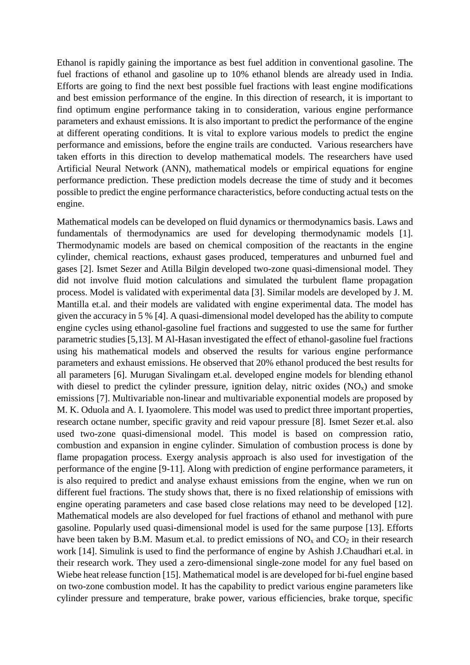Ethanol is rapidly gaining the importance as best fuel addition in conventional gasoline. The fuel fractions of ethanol and gasoline up to 10% ethanol blends are already used in India. Efforts are going to find the next best possible fuel fractions with least engine modifications and best emission performance of the engine. In this direction of research, it is important to find optimum engine performance taking in to consideration, various engine performance parameters and exhaust emissions. It is also important to predict the performance of the engine at different operating conditions. It is vital to explore various models to predict the engine performance and emissions, before the engine trails are conducted. Various researchers have taken efforts in this direction to develop mathematical models. The researchers have used Artificial Neural Network (ANN), mathematical models or empirical equations for engine performance prediction. These prediction models decrease the time of study and it becomes possible to predict the engine performance characteristics, before conducting actual tests on the engine.

Mathematical models can be developed on fluid dynamics or thermodynamics basis. Laws and fundamentals of thermodynamics are used for developing thermodynamic models [1]. Thermodynamic models are based on chemical composition of the reactants in the engine cylinder, chemical reactions, exhaust gases produced, temperatures and unburned fuel and gases [2]. Ismet Sezer and Atilla Bilgin developed two-zone quasi-dimensional model. They did not involve fluid motion calculations and simulated the turbulent flame propagation process. Model is validated with experimental data [3]. Similar models are developed by J. M. Mantilla et.al. and their models are validated with engine experimental data. The model has given the accuracy in 5 % [4]. A quasi-dimensional model developed has the ability to compute engine cycles using ethanol-gasoline fuel fractions and suggested to use the same for further parametric studies [5,13]. M Al-Hasan investigated the effect of ethanol-gasoline fuel fractions using his mathematical models and observed the results for various engine performance parameters and exhaust emissions. He observed that 20% ethanol produced the best results for all parameters [6]. Murugan Sivalingam et.al. developed engine models for blending ethanol with diesel to predict the cylinder pressure, ignition delay, nitric oxides  $(NO<sub>x</sub>)$  and smoke emissions [7]. Multivariable non-linear and multivariable exponential models are proposed by M. K. Oduola and A. I. Iyaomolere. This model was used to predict three important properties, research octane number, specific gravity and reid vapour pressure [8]. Ismet Sezer et.al. also used two-zone quasi-dimensional model. This model is based on compression ratio, combustion and expansion in engine cylinder. Simulation of combustion process is done by flame propagation process. Exergy analysis approach is also used for investigation of the performance of the engine [9-11]. Along with prediction of engine performance parameters, it is also required to predict and analyse exhaust emissions from the engine, when we run on different fuel fractions. The study shows that, there is no fixed relationship of emissions with engine operating parameters and case based close relations may need to be developed [12]. Mathematical models are also developed for fuel fractions of ethanol and methanol with pure gasoline. Popularly used quasi-dimensional model is used for the same purpose [13]. Efforts have been taken by B.M. Masum et.al. to predict emissions of  $NO<sub>x</sub>$  and  $CO<sub>2</sub>$  in their research work [14]. Simulink is used to find the performance of engine by Ashish J.Chaudhari et.al. in their research work. They used a zero-dimensional single-zone model for any fuel based on Wiebe heat release function [15]. Mathematical model is are developed for bi-fuel engine based on two-zone combustion model. It has the capability to predict various engine parameters like cylinder pressure and temperature, brake power, various efficiencies, brake torque, specific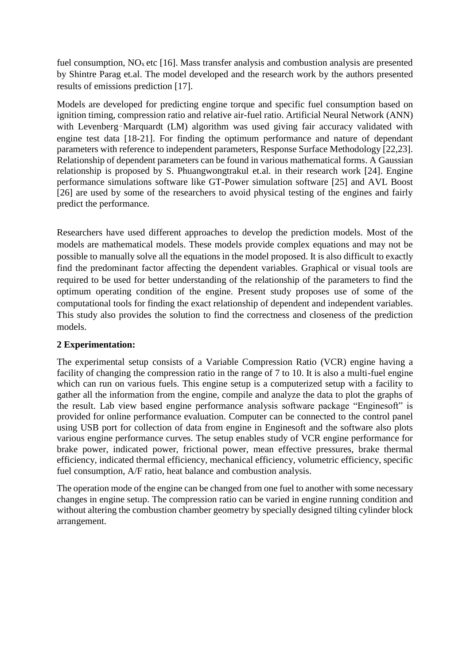fuel consumption,  $NO<sub>x</sub>$  etc [16]. Mass transfer analysis and combustion analysis are presented by Shintre Parag et.al. The model developed and the research work by the authors presented results of emissions prediction [17].

Models are developed for predicting engine torque and specific fuel consumption based on ignition timing, compression ratio and relative air-fuel ratio. Artificial Neural Network (ANN) with Levenberg–Marquardt (LM) algorithm was used giving fair accuracy validated with engine test data [18-21]. For finding the optimum performance and nature of dependant parameters with reference to independent parameters, Response Surface Methodology [22,23]. Relationship of dependent parameters can be found in various mathematical forms. A Gaussian relationship is proposed by S. Phuangwongtrakul et.al. in their research work [24]. Engine performance simulations software like GT-Power simulation software [25] and AVL Boost [26] are used by some of the researchers to avoid physical testing of the engines and fairly predict the performance.

Researchers have used different approaches to develop the prediction models. Most of the models are mathematical models. These models provide complex equations and may not be possible to manually solve all the equations in the model proposed. It is also difficult to exactly find the predominant factor affecting the dependent variables. Graphical or visual tools are required to be used for better understanding of the relationship of the parameters to find the optimum operating condition of the engine. Present study proposes use of some of the computational tools for finding the exact relationship of dependent and independent variables. This study also provides the solution to find the correctness and closeness of the prediction models.

### **2 Experimentation:**

The experimental setup consists of a Variable Compression Ratio (VCR) engine having a facility of changing the compression ratio in the range of 7 to 10. It is also a multi-fuel engine which can run on various fuels. This engine setup is a computerized setup with a facility to gather all the information from the engine, compile and analyze the data to plot the graphs of the result. Lab view based engine performance analysis software package "Enginesoft" is provided for online performance evaluation. Computer can be connected to the control panel using USB port for collection of data from engine in Enginesoft and the software also plots various engine performance curves. The setup enables study of VCR engine performance for brake power, indicated power, frictional power, mean effective pressures, brake thermal efficiency, indicated thermal efficiency, mechanical efficiency, volumetric efficiency, specific fuel consumption, A/F ratio, heat balance and combustion analysis.

The operation mode of the engine can be changed from one fuel to another with some necessary changes in engine setup. The compression ratio can be varied in engine running condition and without altering the combustion chamber geometry by specially designed tilting cylinder block arrangement.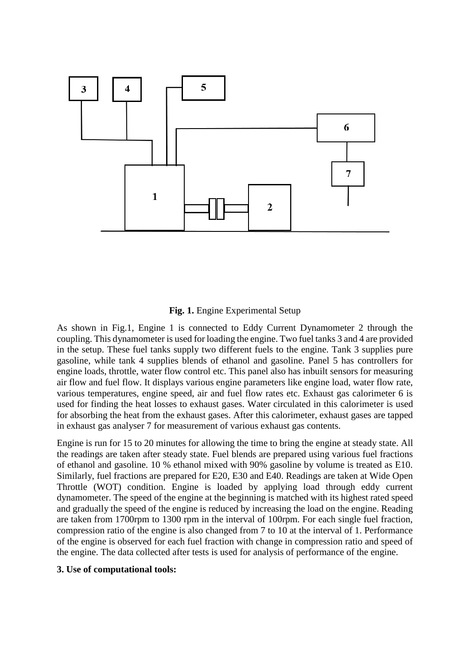

#### **Fig. 1.** Engine Experimental Setup

As shown in Fig.1, Engine 1 is connected to Eddy Current Dynamometer 2 through the coupling. This dynamometer is used for loading the engine. Two fuel tanks 3 and 4 are provided in the setup. These fuel tanks supply two different fuels to the engine. Tank 3 supplies pure gasoline, while tank 4 supplies blends of ethanol and gasoline. Panel 5 has controllers for engine loads, throttle, water flow control etc. This panel also has inbuilt sensors for measuring air flow and fuel flow. It displays various engine parameters like engine load, water flow rate, various temperatures, engine speed, air and fuel flow rates etc. Exhaust gas calorimeter 6 is used for finding the heat losses to exhaust gases. Water circulated in this calorimeter is used for absorbing the heat from the exhaust gases. After this calorimeter, exhaust gases are tapped in exhaust gas analyser 7 for measurement of various exhaust gas contents.

Engine is run for 15 to 20 minutes for allowing the time to bring the engine at steady state. All the readings are taken after steady state. Fuel blends are prepared using various fuel fractions of ethanol and gasoline. 10 % ethanol mixed with 90% gasoline by volume is treated as E10. Similarly, fuel fractions are prepared for E20, E30 and E40. Readings are taken at Wide Open Throttle (WOT) condition. Engine is loaded by applying load through eddy current dynamometer. The speed of the engine at the beginning is matched with its highest rated speed and gradually the speed of the engine is reduced by increasing the load on the engine. Reading are taken from 1700rpm to 1300 rpm in the interval of 100rpm. For each single fuel fraction, compression ratio of the engine is also changed from 7 to 10 at the interval of 1. Performance of the engine is observed for each fuel fraction with change in compression ratio and speed of the engine. The data collected after tests is used for analysis of performance of the engine.

#### **3. Use of computational tools:**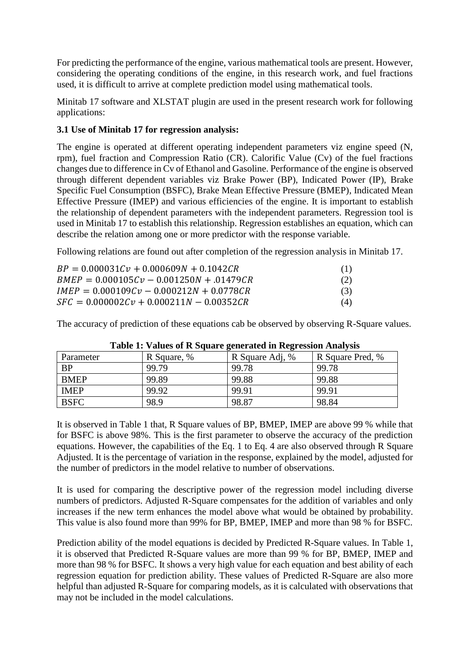For predicting the performance of the engine, various mathematical tools are present. However, considering the operating conditions of the engine, in this research work, and fuel fractions used, it is difficult to arrive at complete prediction model using mathematical tools.

Minitab 17 software and XLSTAT plugin are used in the present research work for following applications:

#### **3.1 Use of Minitab 17 for regression analysis:**

The engine is operated at different operating independent parameters viz engine speed (N, rpm), fuel fraction and Compression Ratio (CR). Calorific Value (Cv) of the fuel fractions changes due to difference in Cv of Ethanol and Gasoline. Performance of the engine is observed through different dependent variables viz Brake Power (BP), Indicated Power (IP), Brake Specific Fuel Consumption (BSFC), Brake Mean Effective Pressure (BMEP), Indicated Mean Effective Pressure (IMEP) and various efficiencies of the engine. It is important to establish the relationship of dependent parameters with the independent parameters. Regression tool is used in Minitab 17 to establish this relationship. Regression establishes an equation, which can describe the relation among one or more predictor with the response variable.

Following relations are found out after completion of the regression analysis in Minitab 17.

| $BP = 0.000031Cv + 0.000609N + 0.1042CR$    |     |
|---------------------------------------------|-----|
| $BMEP = 0.000105Cv - 0.001250N + 0.01479CR$ | (2) |
| $IMEP = 0.000109Cv - 0.000212N + 0.0778CR$  | (3) |
| $SFC = 0.000002Cv + 0.000211N - 0.00352CR$  | (4) |

The accuracy of prediction of these equations cab be observed by observing R-Square values.

| Table 11 Talacs of IND quale generated in INGI CSSION TANATYSIS |             |                 |                  |
|-----------------------------------------------------------------|-------------|-----------------|------------------|
| Parameter                                                       | R Square, % | R Square Adj, % | R Square Pred, % |
| <b>BP</b>                                                       | 99.79       | 99.78           | 99.78            |
| <b>BMEP</b>                                                     | 99.89       | 99.88           | 99.88            |
| <b>IMEP</b>                                                     | 99.92       | 99.91           | 99.91            |
| <b>BSFC</b>                                                     | 98.9        | 98.87           | 98.84            |

|  |  |  | Table 1: Values of R Square generated in Regression Analysis |  |
|--|--|--|--------------------------------------------------------------|--|
|--|--|--|--------------------------------------------------------------|--|

It is observed in Table 1 that, R Square values of BP, BMEP, IMEP are above 99 % while that for BSFC is above 98%. This is the first parameter to observe the accuracy of the prediction equations. However, the capabilities of the Eq. 1 to Eq. 4 are also observed through R Square Adjusted. It is the percentage of variation in the response, explained by the model, adjusted for the number of predictors in the model relative to number of observations.

It is used for comparing the descriptive power of the regression model including diverse numbers of predictors. Adjusted R-Square compensates for the addition of variables and only increases if the new term enhances the model above what would be obtained by probability. This value is also found more than 99% for BP, BMEP, IMEP and more than 98 % for BSFC.

Prediction ability of the model equations is decided by Predicted R-Square values. In Table 1, it is observed that Predicted R-Square values are more than 99 % for BP, BMEP, IMEP and more than 98 % for BSFC. It shows a very high value for each equation and best ability of each regression equation for prediction ability. These values of Predicted R-Square are also more helpful than adjusted R-Square for comparing models, as it is calculated with observations that may not be included in the model calculations.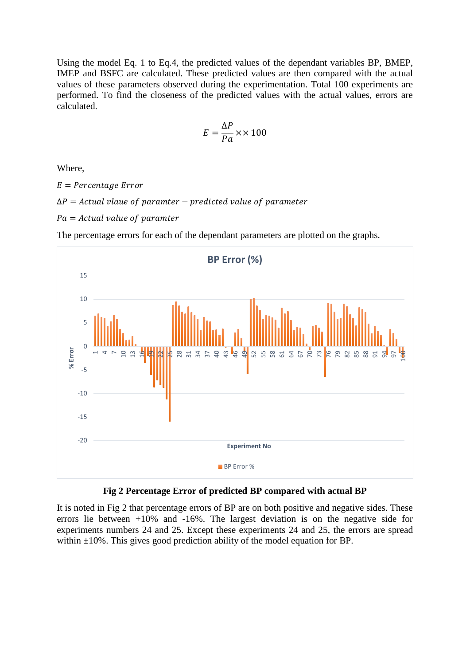Using the model Eq. 1 to Eq.4, the predicted values of the dependant variables BP, BMEP, IMEP and BSFC are calculated. These predicted values are then compared with the actual values of these parameters observed during the experimentation. Total 100 experiments are performed. To find the closeness of the predicted values with the actual values, errors are calculated.

$$
E = \frac{\Delta P}{P a} \times \times 100
$$

Where,

 $E = Percentage Error$ 

 $\Delta P =$  Actual vlaue of paramter – predicted value of parameter

 $Pa = Actual$  value of paramter



The percentage errors for each of the dependant parameters are plotted on the graphs.

**Fig 2 Percentage Error of predicted BP compared with actual BP**

It is noted in Fig 2 that percentage errors of BP are on both positive and negative sides. These errors lie between +10% and -16%. The largest deviation is on the negative side for experiments numbers 24 and 25. Except these experiments 24 and 25, the errors are spread within  $\pm 10\%$ . This gives good prediction ability of the model equation for BP.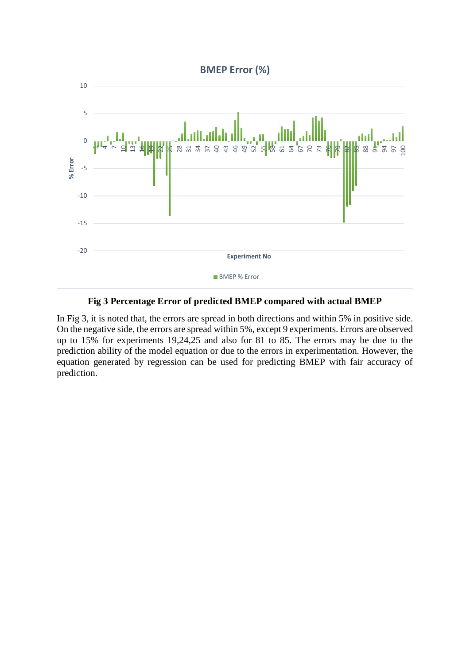

**Fig 3 Percentage Error of predicted BMEP compared with actual BMEP**

In Fig 3, it is noted that, the errors are spread in both directions and within 5% in positive side. On the negative side, the errors are spread within 5%, except 9 experiments. Errors are observed up to 15% for experiments 19,24,25 and also for 81 to 85. The errors may be due to the prediction ability of the model equation or due to the errors in experimentation. However, the equation generated by regression can be used for predicting BMEP with fair accuracy of prediction.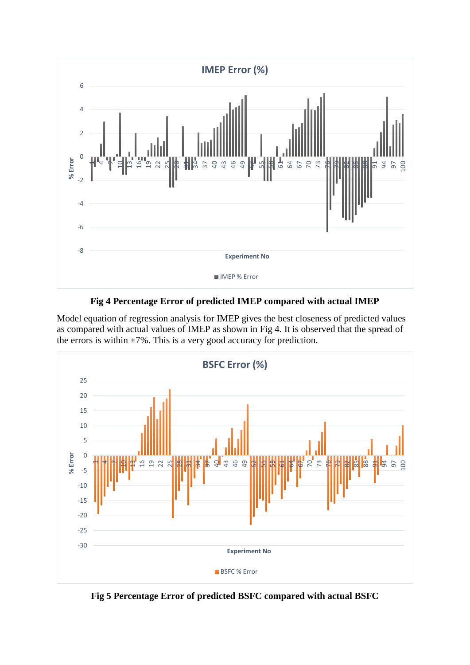

**Fig 4 Percentage Error of predicted IMEP compared with actual IMEP**

Model equation of regression analysis for IMEP gives the best closeness of predicted values as compared with actual values of IMEP as shown in Fig 4. It is observed that the spread of the errors is within  $\pm 7\%$ . This is a very good accuracy for prediction.



**Fig 5 Percentage Error of predicted BSFC compared with actual BSFC**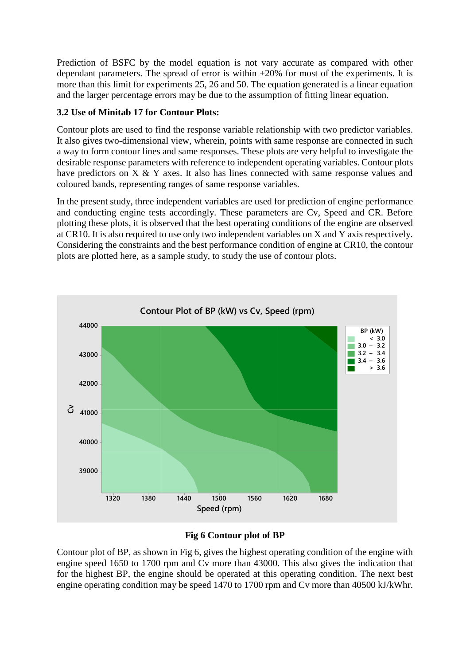Prediction of BSFC by the model equation is not vary accurate as compared with other dependant parameters. The spread of error is within  $\pm 20\%$  for most of the experiments. It is more than this limit for experiments 25, 26 and 50. The equation generated is a linear equation and the larger percentage errors may be due to the assumption of fitting linear equation.

### **3.2 Use of Minitab 17 for Contour Plots:**

Contour plots are used to find the response variable relationship with two predictor variables. It also gives two-dimensional view, wherein, points with same response are connected in such a way to form contour lines and same responses. These plots are very helpful to investigate the desirable response parameters with reference to independent operating variables. Contour plots have predictors on X & Y axes. It also has lines connected with same response values and coloured bands, representing ranges of same response variables.

In the present study, three independent variables are used for prediction of engine performance and conducting engine tests accordingly. These parameters are Cv, Speed and CR. Before plotting these plots, it is observed that the best operating conditions of the engine are observed at CR10. It is also required to use only two independent variables on X and Y axis respectively. Considering the constraints and the best performance condition of engine at CR10, the contour plots are plotted here, as a sample study, to study the use of contour plots.



### **Fig 6 Contour plot of BP**

Contour plot of BP, as shown in Fig 6, gives the highest operating condition of the engine with engine speed 1650 to 1700 rpm and Cv more than 43000. This also gives the indication that for the highest BP, the engine should be operated at this operating condition. The next best engine operating condition may be speed 1470 to 1700 rpm and Cv more than 40500 kJ/kWhr.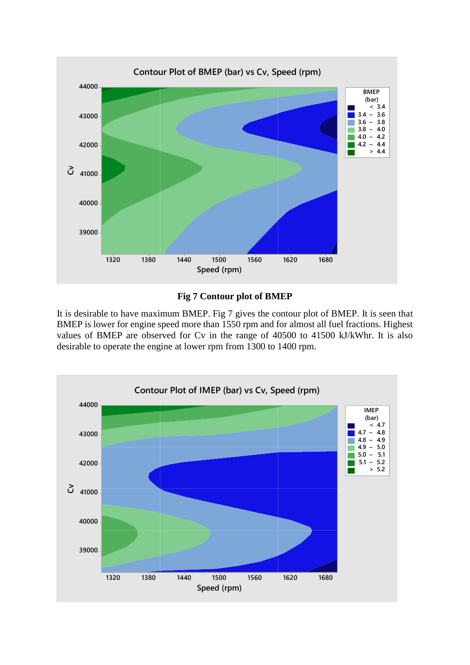

## **Fig 7 Contour plot of BMEP**

It is desirable to have maximum BMEP. Fig 7 gives the contour plot of BMEP. It is seen that BMEP is lower for engine speed more than 1550 rpm and for almost all fuel fractions. Highest values of BMEP are observed for Cv in the range of 40500 to 41500 kJ/kWhr. It is also desirable to operate the engine at lower rpm from 1300 to 1400 rpm.

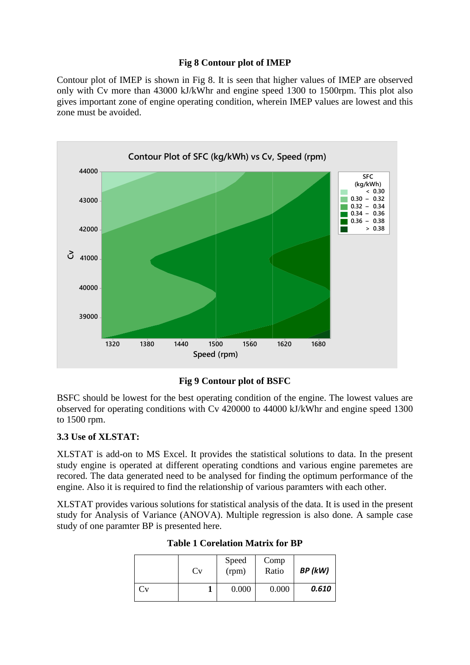### **Fig 8 Contour plot of IMEP**

Contour plot of IMEP is shown in Fig 8. It is seen that higher values of IMEP are observed only with Cv more than 43000 kJ/kWhr and engine speed 1300 to 1500rpm. This plot also gives important zone of engine operating condition, wherein IMEP values are lowest and this zone must be avoided.



**Fig 9 Contour plot of BSFC**

BSFC should be lowest for the best operating condition of the engine. The lowest values are observed for operating conditions with Cv 420000 to 44000 kJ/kWhr and engine speed 1300 to 1500 rpm.

# **3.3 Use of XLSTAT:**

XLSTAT is add-on to MS Excel. It provides the statistical solutions to data. In the present study engine is operated at different operating condtions and various engine paremetes are recored. The data generated need to be analysed for finding the optimum performance of the engine. Also it is required to find the relationship of various paramters with each other.

XLSTAT provides various solutions for statistical analysis of the data. It is used in the present study for Analysis of Variance (ANOVA). Multiple regression is also done. A sample case study of one paramter BP is presented here.

|    | Cv | Speed<br>(rpm) | Comp<br>Ratio | BP (kW) |
|----|----|----------------|---------------|---------|
| Cv |    | 0.000          | 0.000         | 0.610   |

**Table 1 Corelation Matrix for BP**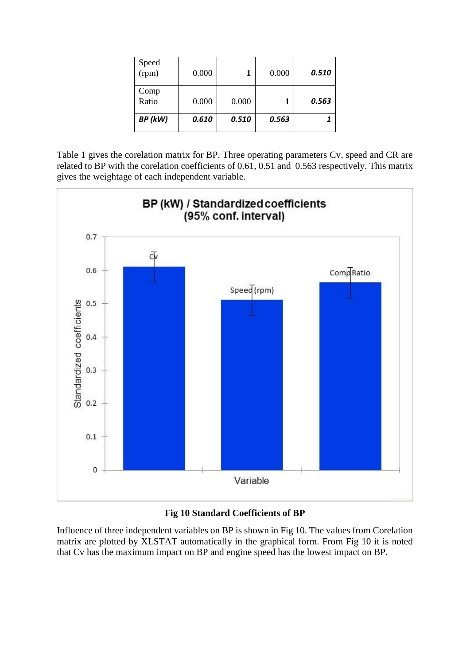| Speed<br>(rpm) | 0.000 |       | 0.000 | 0.510 |
|----------------|-------|-------|-------|-------|
| Comp<br>Ratio  | 0.000 | 0.000 |       | 0.563 |
| BP (kW)        | 0.610 | 0.510 | 0.563 |       |

Table 1 gives the corelation matrix for BP. Three operating parameters Cv, speed and CR are related to BP with the corelation coefficients of 0.61, 0.51 and 0.563 respectively. This matrix gives the weightage of each independent variable.





Influence of three independent variables on BP is shown in Fig 10. The values from Corelation matrix are plotted by XLSTAT automatically in the graphical form. From Fig 10 it is noted that Cv has the maximum impact on BP and engine speed has the lowest impact on BP.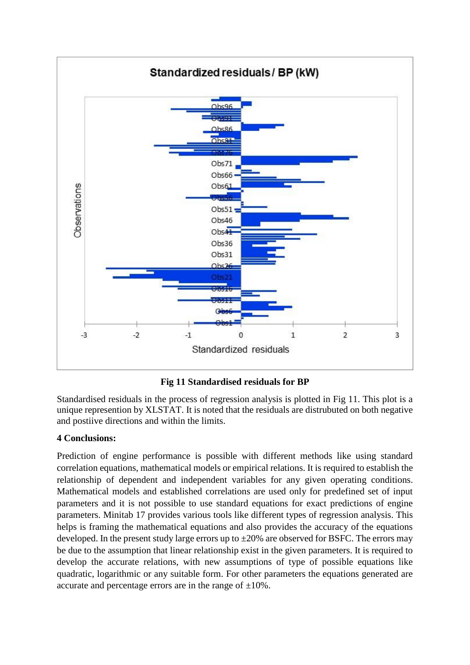

# **Fig 11 Standardised residuals for BP**

Standardised residuals in the process of regression analysis is plotted in Fig 11. This plot is a unique represention by XLSTAT. It is noted that the residuals are distrubuted on both negative and postiive directions and within the limits.

### **4 Conclusions:**

Prediction of engine performance is possible with different methods like using standard correlation equations, mathematical models or empirical relations. It is required to establish the relationship of dependent and independent variables for any given operating conditions. Mathematical models and established correlations are used only for predefined set of input parameters and it is not possible to use standard equations for exact predictions of engine parameters. Minitab 17 provides various tools like different types of regression analysis. This helps is framing the mathematical equations and also provides the accuracy of the equations developed. In the present study large errors up to  $\pm 20\%$  are observed for BSFC. The errors may be due to the assumption that linear relationship exist in the given parameters. It is required to develop the accurate relations, with new assumptions of type of possible equations like quadratic, logarithmic or any suitable form. For other parameters the equations generated are accurate and percentage errors are in the range of  $\pm 10\%$ .